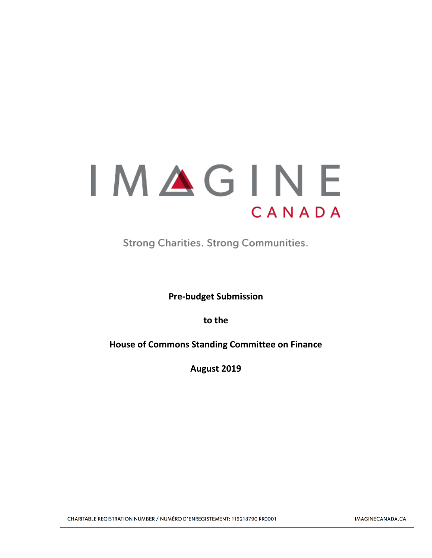# IMAGINE CANADA

**Strong Charities. Strong Communities.** 

**Pre-budget Submission**

**to the**

**House of Commons Standing Committee on Finance**

**August 2019**

CHARITABLE REGISTRATION NUMBER / NUMÉRO D'ENREGISTEMENT: 119218790 RR0001

IMAGINECANADA.CA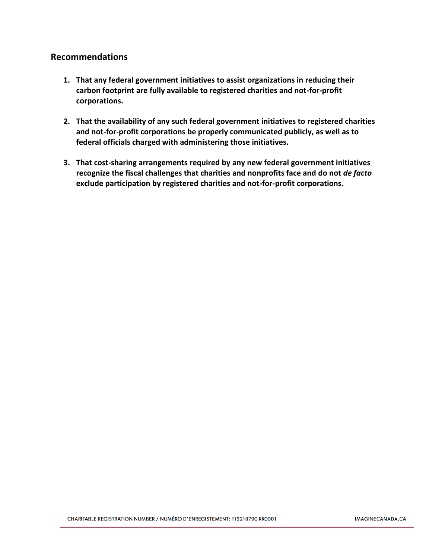## **Recommendations**

- **1. That any federal government initiatives to assist organizations in reducing their carbon footprint are fully available to registered charities and not-for-profit corporations.**
- **2. That the availability of any such federal government initiatives to registered charities and not-for-profit corporations be properly communicated publicly, as well as to federal officials charged with administering those initiatives.**
- **3. That cost-sharing arrangements required by any new federal government initiatives recognize the fiscal challenges that charities and nonprofits face and do not** *de facto*  **exclude participation by registered charities and not-for-profit corporations.**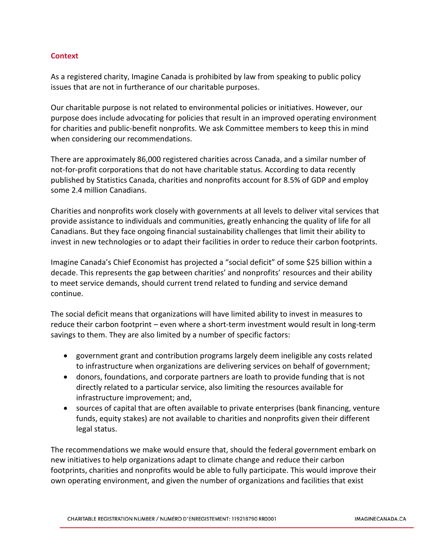### **Context**

As a registered charity, Imagine Canada is prohibited by law from speaking to public policy issues that are not in furtherance of our charitable purposes.

Our charitable purpose is not related to environmental policies or initiatives. However, our purpose does include advocating for policies that result in an improved operating environment for charities and public-benefit nonprofits. We ask Committee members to keep this in mind when considering our recommendations.

There are approximately 86,000 registered charities across Canada, and a similar number of not-for-profit corporations that do not have charitable status. According to data recently published by Statistics Canada, charities and nonprofits account for 8.5% of GDP and employ some 2.4 million Canadians.

Charities and nonprofits work closely with governments at all levels to deliver vital services that provide assistance to individuals and communities, greatly enhancing the quality of life for all Canadians. But they face ongoing financial sustainability challenges that limit their ability to invest in new technologies or to adapt their facilities in order to reduce their carbon footprints.

Imagine Canada's Chief Economist has projected a "social deficit" of some \$25 billion within a decade. This represents the gap between charities' and nonprofits' resources and their ability to meet service demands, should current trend related to funding and service demand continue.

The social deficit means that organizations will have limited ability to invest in measures to reduce their carbon footprint – even where a short-term investment would result in long-term savings to them. They are also limited by a number of specific factors:

- government grant and contribution programs largely deem ineligible any costs related to infrastructure when organizations are delivering services on behalf of government;
- donors, foundations, and corporate partners are loath to provide funding that is not directly related to a particular service, also limiting the resources available for infrastructure improvement; and,
- sources of capital that are often available to private enterprises (bank financing, venture funds, equity stakes) are not available to charities and nonprofits given their different legal status.

The recommendations we make would ensure that, should the federal government embark on new initiatives to help organizations adapt to climate change and reduce their carbon footprints, charities and nonprofits would be able to fully participate. This would improve their own operating environment, and given the number of organizations and facilities that exist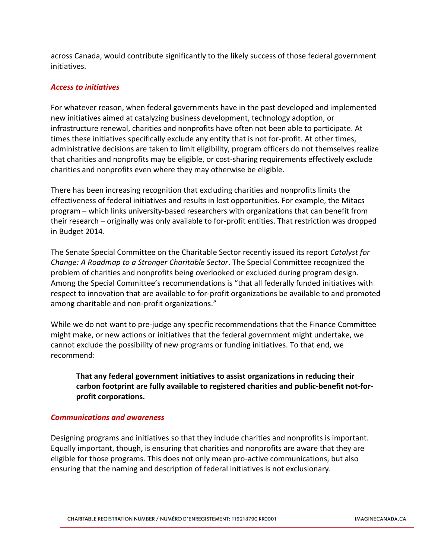across Canada, would contribute significantly to the likely success of those federal government initiatives.

#### *Access to initiatives*

For whatever reason, when federal governments have in the past developed and implemented new initiatives aimed at catalyzing business development, technology adoption, or infrastructure renewal, charities and nonprofits have often not been able to participate. At times these initiatives specifically exclude any entity that is not for-profit. At other times, administrative decisions are taken to limit eligibility, program officers do not themselves realize that charities and nonprofits may be eligible, or cost-sharing requirements effectively exclude charities and nonprofits even where they may otherwise be eligible.

There has been increasing recognition that excluding charities and nonprofits limits the effectiveness of federal initiatives and results in lost opportunities. For example, the Mitacs program – which links university-based researchers with organizations that can benefit from their research – originally was only available to for-profit entities. That restriction was dropped in Budget 2014.

The Senate Special Committee on the Charitable Sector recently issued its report *Catalyst for Change: A Roadmap to a Stronger Charitable Sector*. The Special Committee recognized the problem of charities and nonprofits being overlooked or excluded during program design. Among the Special Committee's recommendations is "that all federally funded initiatives with respect to innovation that are available to for-profit organizations be available to and promoted among charitable and non-profit organizations."

While we do not want to pre-judge any specific recommendations that the Finance Committee might make, or new actions or initiatives that the federal government might undertake, we cannot exclude the possibility of new programs or funding initiatives. To that end, we recommend:

**That any federal government initiatives to assist organizations in reducing their carbon footprint are fully available to registered charities and public-benefit not-forprofit corporations.**

#### *Communications and awareness*

Designing programs and initiatives so that they include charities and nonprofits is important. Equally important, though, is ensuring that charities and nonprofits are aware that they are eligible for those programs. This does not only mean pro-active communications, but also ensuring that the naming and description of federal initiatives is not exclusionary.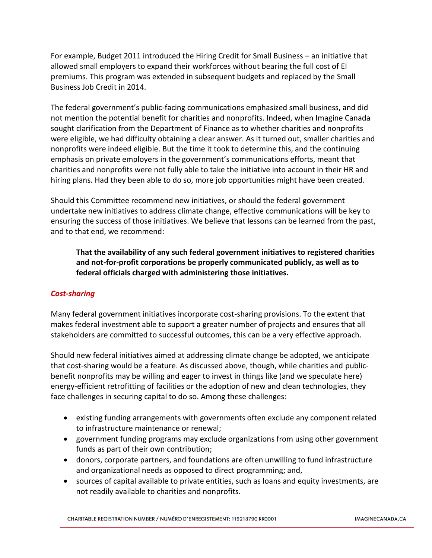For example, Budget 2011 introduced the Hiring Credit for Small Business – an initiative that allowed small employers to expand their workforces without bearing the full cost of EI premiums. This program was extended in subsequent budgets and replaced by the Small Business Job Credit in 2014.

The federal government's public-facing communications emphasized small business, and did not mention the potential benefit for charities and nonprofits. Indeed, when Imagine Canada sought clarification from the Department of Finance as to whether charities and nonprofits were eligible, we had difficulty obtaining a clear answer. As it turned out, smaller charities and nonprofits were indeed eligible. But the time it took to determine this, and the continuing emphasis on private employers in the government's communications efforts, meant that charities and nonprofits were not fully able to take the initiative into account in their HR and hiring plans. Had they been able to do so, more job opportunities might have been created.

Should this Committee recommend new initiatives, or should the federal government undertake new initiatives to address climate change, effective communications will be key to ensuring the success of those initiatives. We believe that lessons can be learned from the past, and to that end, we recommend:

**That the availability of any such federal government initiatives to registered charities and not-for-profit corporations be properly communicated publicly, as well as to federal officials charged with administering those initiatives.**

### *Cost-sharing*

Many federal government initiatives incorporate cost-sharing provisions. To the extent that makes federal investment able to support a greater number of projects and ensures that all stakeholders are committed to successful outcomes, this can be a very effective approach.

Should new federal initiatives aimed at addressing climate change be adopted, we anticipate that cost-sharing would be a feature. As discussed above, though, while charities and publicbenefit nonprofits may be willing and eager to invest in things like (and we speculate here) energy-efficient retrofitting of facilities or the adoption of new and clean technologies, they face challenges in securing capital to do so. Among these challenges:

- existing funding arrangements with governments often exclude any component related to infrastructure maintenance or renewal;
- government funding programs may exclude organizations from using other government funds as part of their own contribution;
- donors, corporate partners, and foundations are often unwilling to fund infrastructure and organizational needs as opposed to direct programming; and,
- sources of capital available to private entities, such as loans and equity investments, are not readily available to charities and nonprofits.

CHARITABLE REGISTRATION NUMBER / NUMÉRO D'ENREGISTEMENT: 119218790 RR0001